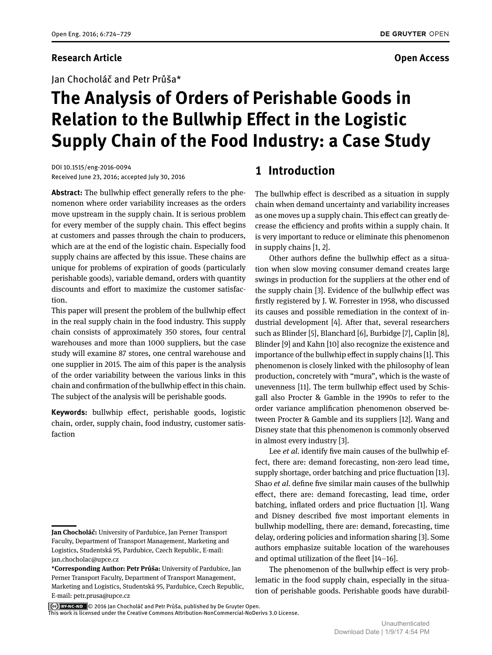#### **Research Article Open Access**

Jan Chocholáč and Petr Průša\*

# **The Analysis of Orders of Perishable Goods in Relation to the Bullwhip Effect in the Logistic Supply Chain of the Food Industry: a Case Study**

DOI 10.1515/eng-2016-0094 Received June 23, 2016; accepted July 30, 2016

**Abstract:** The bullwhip effect generally refers to the phenomenon where order variability increases as the orders move upstream in the supply chain. It is serious problem for every member of the supply chain. This effect begins at customers and passes through the chain to producers, which are at the end of the logistic chain. Especially food supply chains are affected by this issue. These chains are unique for problems of expiration of goods (particularly perishable goods), variable demand, orders with quantity discounts and effort to maximize the customer satisfaction.

This paper will present the problem of the bullwhip effect in the real supply chain in the food industry. This supply chain consists of approximately 350 stores, four central warehouses and more than 1000 suppliers, but the case study will examine 87 stores, one central warehouse and one supplier in 2015. The aim of this paper is the analysis of the order variability between the various links in this chain and confirmation of the bullwhip effect in this chain. The subject of the analysis will be perishable goods.

**Keywords:** bullwhip effect, perishable goods, logistic chain, order, supply chain, food industry, customer satisfaction

# **1 Introduction**

The bullwhip effect is described as a situation in supply chain when demand uncertainty and variability increases as one moves up a supply chain. This effect can greatly decrease the efficiency and profits within a supply chain. It is very important to reduce or eliminate this phenomenon in supply chains [\[1,](#page-4-0) [2\]](#page-4-1).

Other authors define the bullwhip effect as a situation when slow moving consumer demand creates large swings in production for the suppliers at the other end of the supply chain [\[3\]](#page-4-2). Evidence of the bullwhip effect was firstly registered by J. W. Forrester in 1958, who discussed its causes and possible remediation in the context of industrial development [\[4\]](#page-4-3). After that, several researchers such as Blinder [\[5\]](#page-4-4), Blanchard [\[6\]](#page-4-5), Burbidge [\[7\]](#page-4-6), Caplin [\[8\]](#page-4-7), Blinder [\[9\]](#page-4-8) and Kahn [\[10\]](#page-4-9) also recognize the existence and importance of the bullwhip effect in supply chains [\[1\]](#page-4-0). This phenomenon is closely linked with the philosophy of lean production, concretely with "mura", which is the waste of unevenness [\[11\]](#page-4-10). The term bullwhip effect used by Schisgall also Procter & Gamble in the 1990s to refer to the order variance amplification phenomenon observed between Procter & Gamble and its suppliers [\[12\]](#page-4-11). Wang and Disney state that this phenomenon is commonly observed in almost every industry [\[3\]](#page-4-2).

Lee *et al.* identify five main causes of the bullwhip effect, there are: demand forecasting, non-zero lead time, supply shortage, order batching and price fluctuation [\[13\]](#page-4-12). Shao *et al.* define five similar main causes of the bullwhip effect, there are: demand forecasting, lead time, order batching, inflated orders and price fluctuation [\[1\]](#page-4-0). Wang and Disney described five most important elements in bullwhip modelling, there are: demand, forecasting, time delay, ordering policies and information sharing [\[3\]](#page-4-2). Some authors emphasize suitable location of the warehouses and optimal utilization of the fleet [\[14–](#page-4-13)[16\]](#page-4-14).

The phenomenon of the bullwhip effect is very problematic in the food supply chain, especially in the situation of perishable goods. Perishable goods have durabil-

© 2016 Jan Chocholáč and Petr Průša, published by De Gruyter Open.

This work is licensed under the Creative Commons Attribution-NonCommercial-NoDerivs 3.0 License.

**Jan Chocholáč:** University of Pardubice, Jan Perner Transport Faculty, Department of Transport Management, Marketing and Logistics, Studentská 95, Pardubice, Czech Republic, E-mail: jan.chocholac@upce.cz

**<sup>\*</sup>Corresponding Author: Petr Průša:** University of Pardubice, Jan Perner Transport Faculty, Department of Transport Management, Marketing and Logistics, Studentská 95, Pardubice, Czech Republic, E-mail: petr.prusa@upce.cz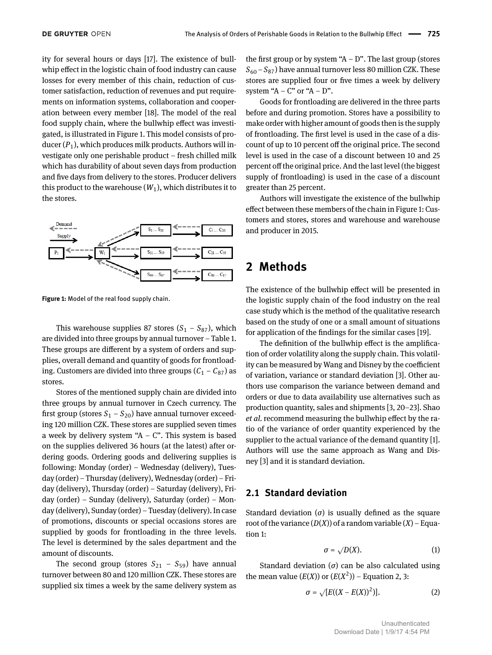ity for several hours or days [\[17\]](#page-4-15). The existence of bullwhip effect in the logistic chain of food industry can cause losses for every member of this chain, reduction of customer satisfaction, reduction of revenues and put requirements on information systems, collaboration and cooperation between every member [\[18\]](#page-4-16). The model of the real food supply chain, where the bullwhip effect was investigated, is illustrated in Figure [1.](#page-1-0) This model consists of producer  $(P_1)$ , which produces milk products. Authors will investigate only one perishable product – fresh chilled milk which has durability of about seven days from production and five days from delivery to the stores. Producer delivers this product to the warehouse  $(W_1)$ , which distributes it to the stores.

<span id="page-1-0"></span>

**Figure 1:** Model of the real food supply chain.

This warehouse supplies 87 stores  $(S_1 - S_{87})$ , which are divided into three groups by annual turnover – Table [1.](#page-2-0) These groups are different by a system of orders and supplies, overall demand and quantity of goods for frontloading. Customers are divided into three groups  $(C_1 - C_{87})$  as stores.

Stores of the mentioned supply chain are divided into three groups by annual turnover in Czech currency. The first group (stores  $S_1 - S_{20}$ ) have annual turnover exceeding 120 million CZK. These stores are supplied seven times a week by delivery system "A – C". This system is based on the supplies delivered 36 hours (at the latest) after ordering goods. Ordering goods and delivering supplies is following: Monday (order) – Wednesday (delivery), Tuesday (order) – Thursday (delivery), Wednesday (order) – Friday (delivery), Thursday (order) – Saturday (delivery), Friday (order) – Sunday (delivery), Saturday (order) – Monday (delivery), Sunday (order) – Tuesday (delivery). In case of promotions, discounts or special occasions stores are supplied by goods for frontloading in the three levels. The level is determined by the sales department and the amount of discounts.

The second group (stores  $S_{21} - S_{59}$ ) have annual turnover between 80 and 120 million CZK. These stores are supplied six times a week by the same delivery system as the first group or by system "A  $-$  D". The last group (stores *S*<sub>60</sub> − *S*<sub>87</sub>) have annual turnover less 80 million CZK. These stores are supplied four or five times a week by delivery system "A –  $C$ " or "A –  $D$ ".

Goods for frontloading are delivered in the three parts before and during promotion. Stores have a possibility to make order with higher amount of goods then is the supply of frontloading. The first level is used in the case of a discount of up to 10 percent off the original price. The second level is used in the case of a discount between 10 and 25 percent off the original price. And the last level (the biggest supply of frontloading) is used in the case of a discount greater than 25 percent.

Authors will investigate the existence of the bullwhip effect between these members of the chain in Figure [1:](#page-1-0) Customers and stores, stores and warehouse and warehouse and producer in 2015.

# **2 Methods**

The existence of the bullwhip effect will be presented in the logistic supply chain of the food industry on the real case study which is the method of the qualitative research based on the study of one or a small amount of situations for application of the findings for the similar cases [\[19\]](#page-4-17).

The definition of the bullwhip effect is the amplification of order volatility along the supply chain. This volatility can be measured by Wang and Disney by the coefficient of variation, variance or standard deviation [\[3\]](#page-4-2). Other authors use comparison the variance between demand and orders or due to data availability use alternatives such as production quantity, sales and shipments [\[3,](#page-4-2) [20](#page-4-18)[–23\]](#page-5-1). Shao *et al.* recommend measuring the bullwhip effect by the ratio of the variance of order quantity experienced by the supplier to the actual variance of the demand quantity [\[1\]](#page-4-0). Authors will use the same approach as Wang and Disney [\[3\]](#page-4-2) and it is standard deviation.

### **2.1 Standard deviation**

Standard deviation  $(\sigma)$  is usually defined as the square root of the variance  $(D(X))$  of a random variable  $(X)$  – Equation 1:

$$
\sigma = \sqrt{D(X)}.
$$
 (1)

Standard deviation  $(σ)$  can be also calculated using the mean value  $(E(X))$  or  $(E(X^2))$  – Equation 2, 3:

$$
\sigma = \sqrt{[E((X - E(X))^2)]}.\tag{2}
$$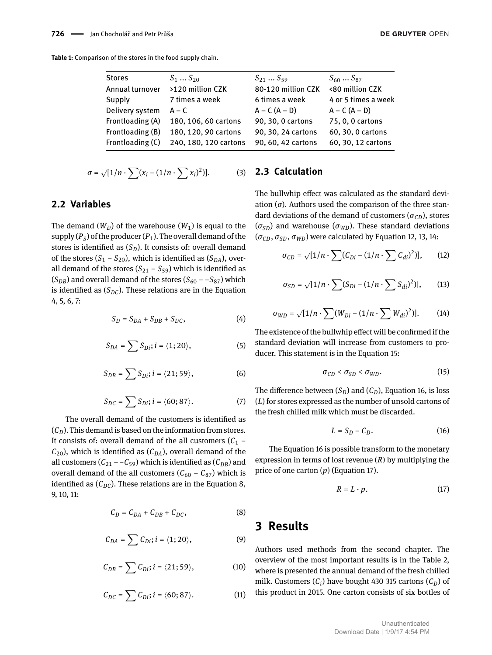<span id="page-2-0"></span>**Table 1:** Comparison of the stores in the food supply chain.

| <b>Stores</b>    | $S_1 \dots S_{20}$    | $S_{21} \dots S_{59}$ | $S_{60}$ $S_{87}$   |
|------------------|-----------------------|-----------------------|---------------------|
| Annual turnover  | >120 million CZK      | 80-120 million CZK    | <80 million CZK     |
| Supply           | 7 times a week        | 6 times a week        | 4 or 5 times a week |
| Delivery system  | $A - C$               | $A - C (A - D)$       | $A - C (A - D)$     |
| Frontloading (A) | 180, 106, 60 cartons  | 90, 30, 0 cartons     | 75, 0, 0 cartons    |
| Frontloading (B) | 180, 120, 90 cartons  | 90, 30, 24 cartons    | 60, 30, 0 cartons   |
| Frontloading (C) | 240, 180, 120 cartons | 90, 60, 42 cartons    | 60, 30, 12 cartons  |

$$
\sigma = \sqrt{[1/n \cdot \sum (x_i - (1/n \cdot \sum x_i)^2)]}.
$$
 (3)

#### **2.2 Variables**

The demand  $(W_D)$  of the warehouse  $(W_1)$  is equal to the supply  $(P_S)$  of the producer  $(P_1).$  The overall demand of the stores is identified as  $(S<sub>D</sub>)$ . It consists of: overall demand of the stores  $(S_1 - S_{20})$ , which is identified as  $(S_{DA})$ , overall demand of the stores  $(S_{21} - S_{59})$  which is identified as  $(S_{DB})$  and overall demand of the stores  $(S_{60} - S_{87})$  which is identified as  $(S_{DC})$ . These relations are in the Equation 4, 5, 6, 7:

$$
S_D = S_{DA} + S_{DB} + S_{DC},\tag{4}
$$

$$
S_{DA} = \sum S_{Di}; i = \langle 1; 20 \rangle, \qquad (5)
$$

$$
S_{DB} = \sum S_{Di}; i = \langle 21; 59 \rangle, \tag{6}
$$

$$
S_{DC} = \sum S_{Di}; i = \langle 60; 87 \rangle.
$$
 (7)

The overall demand of the customers is identified as  $(C_D)$ . This demand is based on the information from stores. It consists of: overall demand of the all customers  $(C_1 C_{20}$ ), which is identified as  $(C_{DA})$ , overall demand of the all customers  $(C_{21} - C_{59})$  which is identified as  $(C_{DB})$  and overall demand of the all customers ( $C_{60} - C_{87}$ ) which is identified as  $(C_{DC})$ . These relations are in the Equation 8, 9, 10, 11:

$$
C_D = C_{DA} + C_{DB} + C_{DC}, \qquad (8)
$$

$$
C_{DA} = \sum C_{Di}; i = \langle 1; 20 \rangle, \qquad (9)
$$

$$
C_{DB} = \sum C_{Di}; i = \langle 21; 59 \rangle, \tag{10}
$$

$$
C_{DC} = \sum C_{Di}; i = \langle 60; 87 \rangle.
$$
 (11)

#### **2.3 Calculation**

The bullwhip effect was calculated as the standard deviation  $(σ)$ . Authors used the comparison of the three standard deviations of the demand of customers ( $\sigma$ <sub>CD</sub>), stores  $(\sigma_{SD})$  and warehouse  $(\sigma_{WD})$ . These standard deviations  $(\sigma_{CD}, \sigma_{SD}, \sigma_{WD})$  were calculated by Equation 12, 13, 14:

$$
\sigma_{CD} = \sqrt{[1/n} \cdot \sum (C_{Di} - (1/n \cdot \sum C_{di})^2)], \qquad (12)
$$

$$
\sigma_{SD} = \sqrt{[1/n \cdot \sum (S_{Di} - (1/n \cdot \sum S_{di})^2)]},
$$
 (13)

$$
\sigma_{WD} = \sqrt{[1/n \cdot \sum (W_{Di} - (1/n \cdot \sum W_{di})^2)]}. \quad (14)
$$

The existence of the bullwhip effect will be confirmed if the standard deviation will increase from customers to producer. This statement is in the Equation 15:

$$
\sigma_{CD} < \sigma_{SD} < \sigma_{WD}. \tag{15}
$$

The difference between  $(S_D)$  and  $(C_D)$ , Equation 16, is loss (*L*) for stores expressed as the number of unsold cartons of the fresh chilled milk which must be discarded.

$$
L = S_D - C_D. \tag{16}
$$

The Equation 16 is possible transform to the monetary expression in terms of lost revenue (*R*) by multiplying the price of one carton (*p*) (Equation 17).

$$
R = L \cdot p. \tag{17}
$$

# **3 Results**

Authors used methods from the second chapter. The overview of the most important results is in the Table [2,](#page-3-0) where is presented the annual demand of the fresh chilled milk. Customers  $(C_i)$  have bought 430 315 cartons  $(C_D)$  of this product in 2015. One carton consists of six bottles of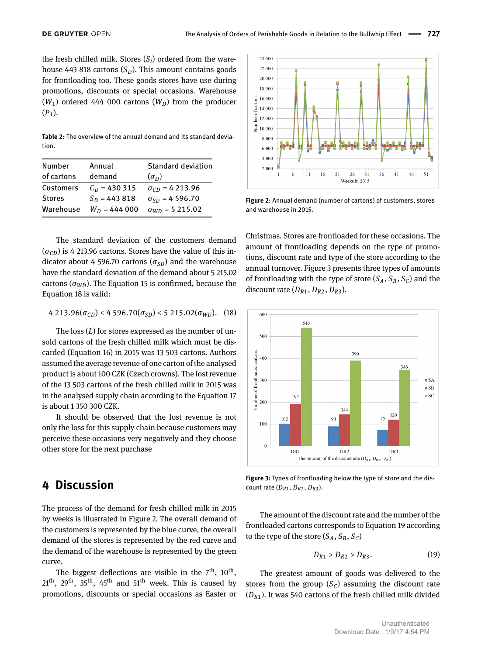the fresh chilled milk. Stores (*S<sup>i</sup>* ) ordered from the warehouse 443 818 cartons  $(S<sub>D</sub>)$ . This amount contains goods for frontloading too. These goods stores have use during promotions, discounts or special occasions. Warehouse  $(W_1)$  ordered 444 000 cartons  $(W_D)$  from the producer  $(P_1)$ .

<span id="page-3-0"></span>**Table 2:** The overview of the annual demand and its standard deviation.

| Number        | Annual          | <b>Standard deviation</b> |
|---------------|-----------------|---------------------------|
| of cartons    | demand          | $(\sigma_D)$              |
| Customers     | $C_n$ = 430 315 | $\sigma_{CD}$ = 4 213.96  |
|               |                 |                           |
| <b>Stores</b> | $S_n = 443818$  | $\sigma_{SD}$ = 4 596.70  |
| Warehouse     | $W_D = 444 000$ | $\sigma_{WD} = 5215.02$   |

The standard deviation of the customers demand  $(\sigma_{CD})$  is 4 213.96 cartons. Stores have the value of this indicator about 4 596.70 cartons ( $\sigma_{SD}$ ) and the warehouse have the standard deviation of the demand about 5 215.02 cartons ( $\sigma_{WD}$ ). The Equation 15 is confirmed, because the Equation 18 is valid:

4 213.96(
$$
\sigma_{CD}
$$
) < 4 596.70( $\sigma_{SD}$ ) < 5 215.02( $\sigma_{WD}$ ). (18)

The loss (*L*) for stores expressed as the number of unsold cartons of the fresh chilled milk which must be discarded (Equation 16) in 2015 was 13 503 cartons. Authors assumed the average revenue of one carton of the analysed product is about 100 CZK (Czech crowns). The lost revenue of the 13 503 cartons of the fresh chilled milk in 2015 was in the analysed supply chain according to the Equation 17 is about 1 350 300 CZK.

It should be observed that the lost revenue is not only the loss for this supply chain because customers may perceive these occasions very negatively and they choose other store for the next purchase

## **4 Discussion**

The process of the demand for fresh chilled milk in 2015 by weeks is illustrated in Figure [2.](#page-3-1) The overall demand of the customers is represented by the blue curve, the overall demand of the stores is represented by the red curve and the demand of the warehouse is represented by the green curve.

The biggest deflections are visible in the  $7^{\text{th}}$ ,  $10^{\text{th}}$ ,  $21<sup>th</sup>$ ,  $29<sup>th</sup>$ ,  $35<sup>th</sup>$ ,  $45<sup>th</sup>$  and  $51<sup>th</sup>$  week. This is caused by promotions, discounts or special occasions as Easter or

<span id="page-3-1"></span>

**Figure 2:** Annual demand (number of cartons) of customers, stores and warehouse in 2015.

Christmas. Stores are frontloaded for these occasions. The amount of frontloading depends on the type of promotions, discount rate and type of the store according to the annual turnover. Figure [3](#page-3-2) presents three types of amounts of frontloading with the type of store  $(S_A, S_B, S_C)$  and the discount rate  $(D_{R1}, D_{R2}, D_{R3})$ .

<span id="page-3-2"></span>

**Figure 3:** Types of frontloading below the type of store and the discount rate (*DR*1, *DR*2, *DR*3).

The amount of the discount rate and the number of the frontloaded cartons corresponds to Equation 19 according to the type of the store  $(S_A, S_B, S_C)$ 

$$
D_{R1} > D_{R2} > D_{R3}.
$$
 (19)

The greatest amount of goods was delivered to the stores from the group  $(S_C)$  assuming the discount rate  $(D_{R1})$ . It was 540 cartons of the fresh chilled milk divided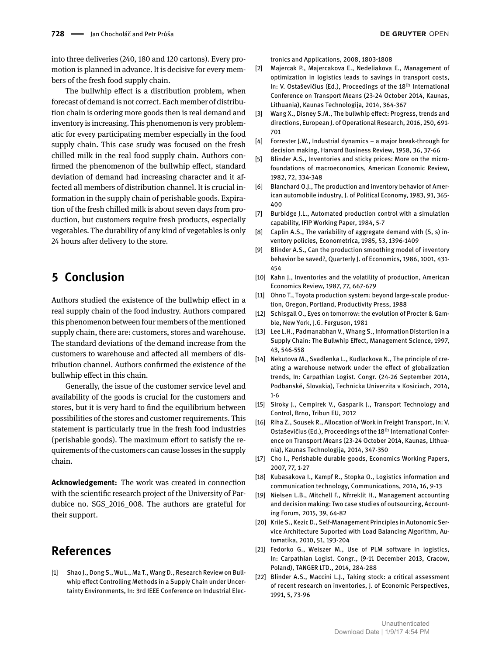into three deliveries (240, 180 and 120 cartons). Every promotion is planned in advance. It is decisive for every members of the fresh food supply chain.

The bullwhip effect is a distribution problem, when forecast of demand is not correct. Each member of distribution chain is ordering more goods then is real demand and inventory is increasing. This phenomenon is very problematic for every participating member especially in the food supply chain. This case study was focused on the fresh chilled milk in the real food supply chain. Authors confirmed the phenomenon of the bullwhip effect, standard deviation of demand had increasing character and it affected all members of distribution channel. It is crucial information in the supply chain of perishable goods. Expiration of the fresh chilled milk is about seven days from production, but customers require fresh products, especially vegetables. The durability of any kind of vegetables is only 24 hours after delivery to the store.

# **5 Conclusion**

Authors studied the existence of the bullwhip effect in a real supply chain of the food industry. Authors compared this phenomenon between four members of the mentioned supply chain, there are: customers, stores and warehouse. The standard deviations of the demand increase from the customers to warehouse and affected all members of distribution channel. Authors confirmed the existence of the bullwhip effect in this chain.

Generally, the issue of the customer service level and availability of the goods is crucial for the customers and stores, but it is very hard to find the equilibrium between possibilities of the stores and customer requirements. This statement is particularly true in the fresh food industries (perishable goods). The maximum effort to satisfy the requirements of the customers can cause losses in the supply chain.

**Acknowledgement:** The work was created in connection with the scientific research project of the University of Pardubice no. SGS\_2016\_008. The authors are grateful for their support.

# **References**

<span id="page-4-0"></span>[1] Shao J., Dong S., Wu L., Ma T., Wang D., Research Review on Bullwhip effect Controlling Methods in a Supply Chain under Uncertainty Environments, In: 3rd IEEE Conference on Industrial Electronics and Applications, 2008, 1803-1808

- <span id="page-4-1"></span>[2] Majercak P., Majercakova E., Nedeliakova E., Management of optimization in logistics leads to savings in transport costs, In: V. Ostaševičius (Ed.), Proceedings of the 18<sup>th</sup> International Conference on Transport Means (23-24 October 2014, Kaunas, Lithuania), Kaunas Technologija, 2014, 364-367
- <span id="page-4-2"></span>[3] Wang X., Disney S.M., The bullwhip effect: Progress, trends and directions, European J. of Operational Research, 2016, 250, 691- 701
- <span id="page-4-3"></span>[4] Forrester J.W., Industrial dynamics – a major break-through for decision making, Harvard Business Review, 1958, 36, 37-66
- <span id="page-4-4"></span>[5] Blinder A.S., Inventories and sticky prices: More on the microfoundations of macroeconomics, American Economic Review, 1982, 72, 334-348
- <span id="page-4-5"></span>[6] Blanchard O.J., The production and inventory behavior of American automobile industry, J. of Political Economy, 1983, 91, 365- 400
- <span id="page-4-6"></span>[7] Burbidge J.L., Automated production control with a simulation capability, IFIP Working Paper, 1984, 5-7
- <span id="page-4-7"></span>[8] Caplin A.S., The variability of aggregate demand with (S, s) inventory policies, Econometrica, 1985, 53, 1396-1409
- <span id="page-4-8"></span>[9] Blinder A.S., Can the production smoothing model of inventory behavior be saved?, Quarterly J. of Economics, 1986, 1001, 431- 454
- <span id="page-4-9"></span>[10] Kahn J., Inventories and the volatility of production, American Economics Review, 1987, 77, 667-679
- <span id="page-4-10"></span>[11] Ohno T., Toyota production system: beyond large-scale production, Oregon, Portland, Productivity Press, 1988
- <span id="page-4-11"></span>[12] Schisgall O., Eyes on tomorrow: the evolution of Procter & Gamble, New York, J.G. Ferguson, 1981
- <span id="page-4-12"></span>[13] Lee L.H., Padmanabhan V., Whang S., Information Distortion in a Supply Chain: The Bullwhip Effect, Management Science, 1997, 43, 546-558
- <span id="page-4-13"></span>[14] Nekutova M., Svadlenka L., Kudlackova N., The principle of creating a warehouse network under the effect of globalization trends, In: Carpathian Logist. Congr. (24-26 September 2014, Podbanské, Slovakia), Technicka Univerzita v Kosiciach, 2014, 1-6
- [15] Siroky J., Cempirek V., Gasparik J., Transport Technology and Control, Brno, Tribun EU, 2012
- <span id="page-4-14"></span>[16] Riha Z., Sousek R., Allocation of Work in Freight Transport, In: V. Ostaševičius (Ed.), Proceedings of the 18<sup>th</sup> International Conference on Transport Means (23-24 October 2014, Kaunas, Lithuania), Kaunas Technologija, 2014, 347-350
- <span id="page-4-15"></span>[17] Cho I., Perishable durable goods, Economics Working Papers, 2007, 77, 1-27
- <span id="page-4-16"></span>[18] Kubasakova I., Kampf R., Stopka O., Logistics information and communication technology, Communications, 2014, 16, 9-13
- <span id="page-4-17"></span>[19] Nielsen L.B., Mitchell F., Nřrreklit H., Management accounting and decision making: Two case studies of outsourcing, Accounting Forum, 2015, 39, 64-82
- <span id="page-4-18"></span>[20] Krile S., Kezic D., Self-Management Principles in Autonomic Service Architecture Suported with Load Balancing Algorithm, Automatika, 2010, 51, 193-204
- [21] Fedorko G., Weiszer M., Use of PLM software in logistics, In: Carpathian Logist. Congr., (9-11 December 2013, Cracow, Poland), TANGER LTD., 2014, 284-288
- [22] Blinder A.S., Maccini L.J., Taking stock: a critical assessment of recent research on inventories, J. of Economic Perspectives, 1991, 5, 73-96